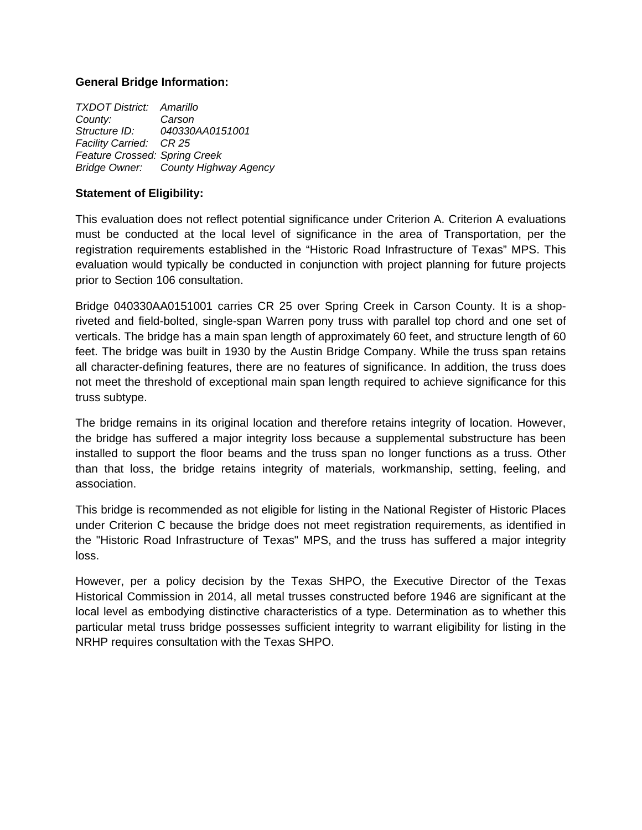### **General Bridge Information:**

*TXDOT District: Amarillo County: Carson Structure ID: 040330AA0151001 Facility Carried: CR 25 Feature Crossed: Spring Creek Bridge Owner: County Highway Agency* 

### **Statement of Eligibility:**

This evaluation does not reflect potential significance under Criterion A. Criterion A evaluations must be conducted at the local level of significance in the area of Transportation, per the registration requirements established in the "Historic Road Infrastructure of Texas" MPS. This evaluation would typically be conducted in conjunction with project planning for future projects prior to Section 106 consultation.

Bridge 040330AA0151001 carries CR 25 over Spring Creek in Carson County. It is a shopriveted and field-bolted, single-span Warren pony truss with parallel top chord and one set of verticals. The bridge has a main span length of approximately 60 feet, and structure length of 60 feet. The bridge was built in 1930 by the Austin Bridge Company. While the truss span retains all character-defining features, there are no features of significance. In addition, the truss does not meet the threshold of exceptional main span length required to achieve significance for this truss subtype.

The bridge remains in its original location and therefore retains integrity of location. However, the bridge has suffered a major integrity loss because a supplemental substructure has been installed to support the floor beams and the truss span no longer functions as a truss. Other than that loss, the bridge retains integrity of materials, workmanship, setting, feeling, and association.

This bridge is recommended as not eligible for listing in the National Register of Historic Places under Criterion C because the bridge does not meet registration requirements, as identified in the "Historic Road Infrastructure of Texas" MPS, and the truss has suffered a major integrity loss.

However, per a policy decision by the Texas SHPO, the Executive Director of the Texas Historical Commission in 2014, all metal trusses constructed before 1946 are significant at the local level as embodying distinctive characteristics of a type. Determination as to whether this particular metal truss bridge possesses sufficient integrity to warrant eligibility for listing in the NRHP requires consultation with the Texas SHPO.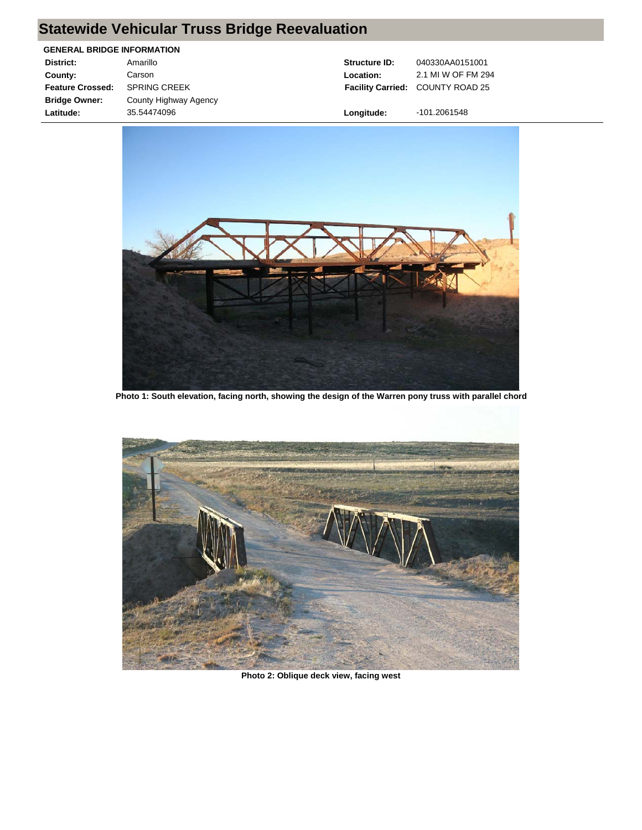# **Statewide Vehicular Truss Bridge Reevaluation**

### **GENERAL BRIDGE INFORMATION**

| District:               | Amarillo              |
|-------------------------|-----------------------|
| County:                 | Carson                |
| <b>Feature Crossed:</b> | <b>SPRING CREEK</b>   |
| <b>Bridge Owner:</b>    | County Highway Agency |
| Latitude:               | 35.54474096           |
|                         |                       |

**Structure ID:** 040330AA0151001 **Facility Carried:** COUNTY ROAD 25 **Location:** 2.1 MI W OF FM 294

**Longitude:** -101.2061548



**Photo 1: South elevation, facing north, showing the design of the Warren pony truss with parallel chord**



**Photo 2: Oblique deck view, facing west**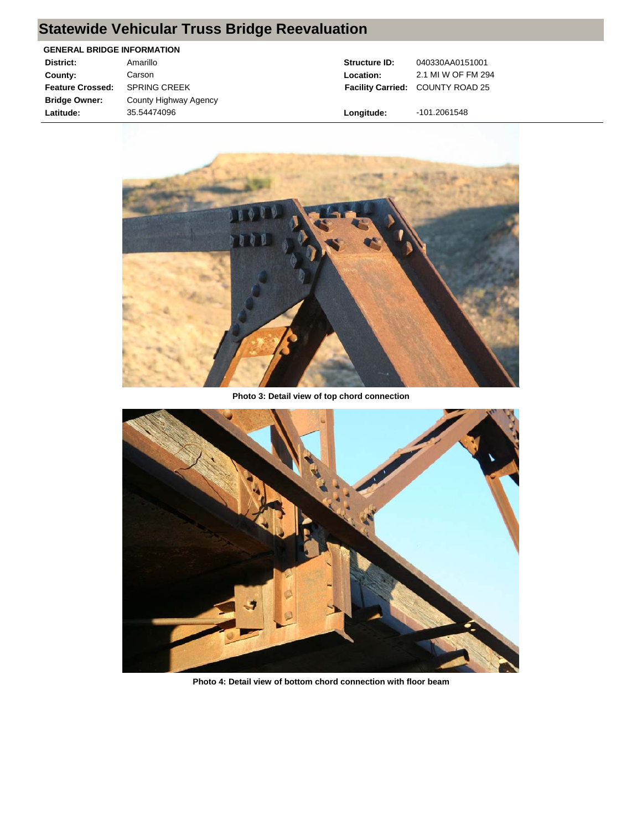# **Statewide Vehicular Truss Bridge Reevaluation**

### **GENERAL BRIDGE INFORMATION**

| District:               | Amarillo              |
|-------------------------|-----------------------|
| County:                 | Carson                |
| <b>Feature Crossed:</b> | <b>SPRING CREEK</b>   |
| <b>Bridge Owner:</b>    | County Highway Agency |
| Latitude:               | 35.54474096           |

**Structure ID:** 040330AA0151001 **Facility Carried:** COUNTY ROAD 25 **Location:** 2.1 MI W OF FM 294

**Longitude:** -101.2061548



**Photo 3: Detail view of top chord connection**



**Photo 4: Detail view of bottom chord connection with floor beam**